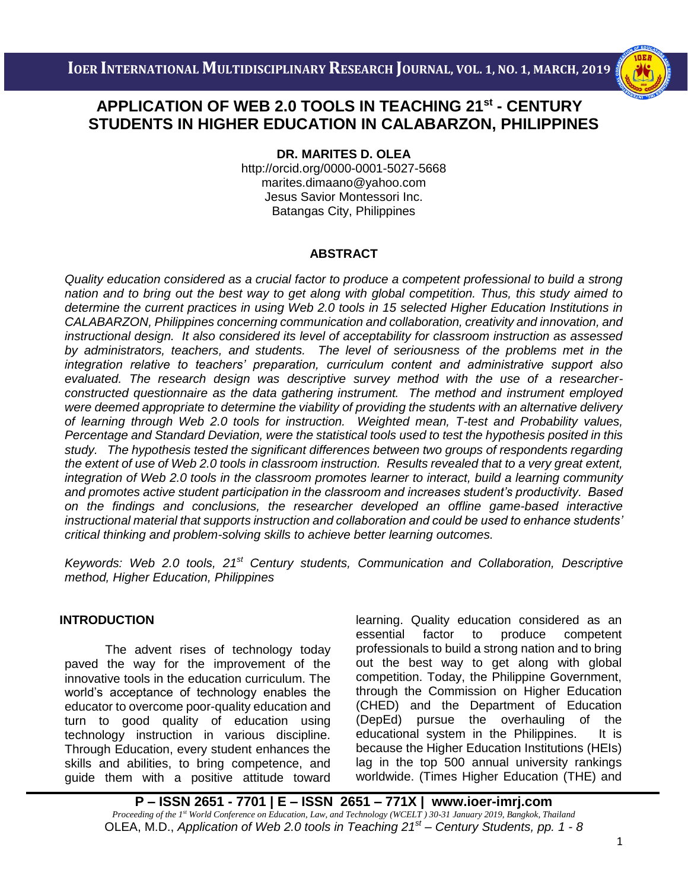

# i<br>I  **STUDENTS IN HIGHER EDUCATION IN CALABARZON, PHILIPPINES APPLICATION OF WEB 2.0 TOOLS IN TEACHING 21st - CENTURY**

**DR. MARITES D. OLEA**

http://orcid.org/0000-0001-5027-5668 [marites.dimaano@yahoo.com](mailto:marites.dimaano@yahoo.com) Jesus Savior Montessori Inc. Batangas City, Philippines

## **ABSTRACT**

*Quality education considered as a crucial factor to produce a competent professional to build a strong nation and to bring out the best way to get along with global competition. Thus, this study aimed to determine the current practices in using Web 2.0 tools in 15 selected Higher Education Institutions in CALABARZON, Philippines concerning communication and collaboration, creativity and innovation, and instructional design. It also considered its level of acceptability for classroom instruction as assessed by administrators, teachers, and students. The level of seriousness of the problems met in the integration relative to teachers' preparation, curriculum content and administrative support also evaluated. The research design was descriptive survey method with the use of a researcherconstructed questionnaire as the data gathering instrument. The method and instrument employed were deemed appropriate to determine the viability of providing the students with an alternative delivery of learning through Web 2.0 tools for instruction. Weighted mean, T-test and Probability values, Percentage and Standard Deviation, were the statistical tools used to test the hypothesis posited in this study. The hypothesis tested the significant differences between two groups of respondents regarding the extent of use of Web 2.0 tools in classroom instruction. Results revealed that to a very great extent, integration of Web 2.0 tools in the classroom promotes learner to interact, build a learning community and promotes active student participation in the classroom and increases student's productivity. Based on the findings and conclusions, the researcher developed an offline game-based interactive instructional material that supports instruction and collaboration and could be used to enhance students' critical thinking and problem-solving skills to achieve better learning outcomes.*

*Keywords: Web 2.0 tools, 21st Century students, Communication and Collaboration, Descriptive method, Higher Education, Philippines*

## **INTRODUCTION**

The advent rises of technology today paved the way for the improvement of the innovative tools in the education curriculum. The world's acceptance of technology enables the educator to overcome poor-quality education and turn to good quality of education using technology instruction in various discipline. Through Education, every student enhances the skills and abilities, to bring competence, and guide them with a positive attitude toward learning. Quality education considered as an essential factor to produce competent professionals to build a strong nation and to bring out the best way to get along with global competition. Today, the Philippine Government, through the Commission on Higher Education (CHED) and the Department of Education (DepEd) pursue the overhauling of the educational system in the Philippines. It is because the Higher Education Institutions (HEIs) lag in the top 500 annual university rankings worldwide. (Times Higher Education (THE) and

**P – ISSN 2651 - 7701 | E – ISSN 2651 – 771X | [www.ioer-imrj.com](http://www.ioer-imrj.com/)** *Proceeding of the 1st World Conference on Education, Law, and Technology (WCELT ) 30-31 January 2019, Bangkok, Thailand* OLEA, M.D., *Application of Web 2.0 tools in Teaching 21st – Century Students, pp. 1 - 8*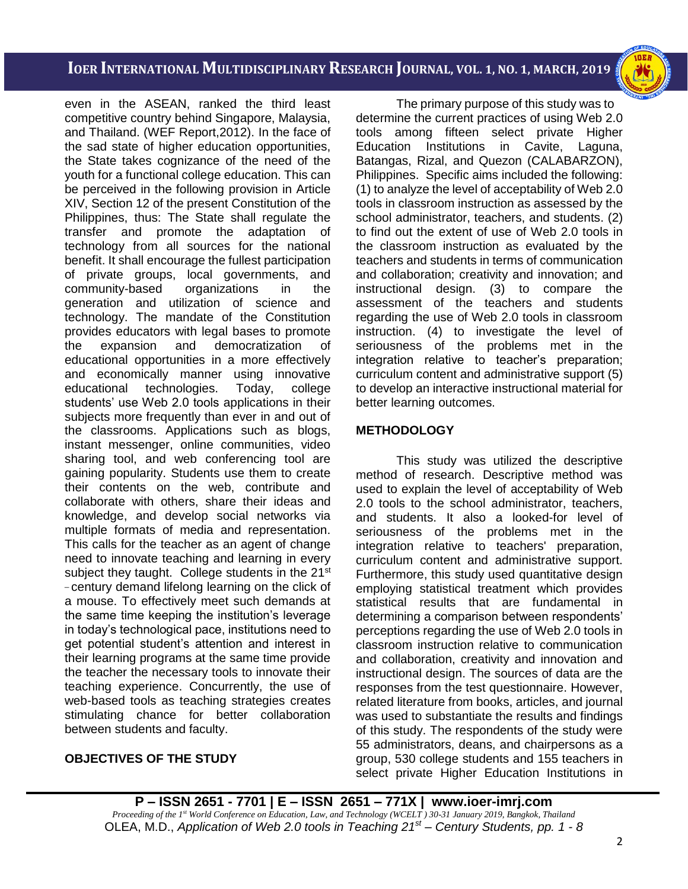

i<br>I

even in the ASEAN, ranked the third least competitive country behind Singapore, Malaysia, and Thailand. (WEF Report,2012). In the face of the sad state of higher education opportunities, the State takes cognizance of the need of the youth for a functional college education. This can be perceived in the following provision in Article XIV, Section 12 of the present Constitution of the Philippines, thus: The State shall regulate the transfer and promote the adaptation of technology from all sources for the national benefit. It shall encourage the fullest participation of private groups, local governments, and community-based organizations in the generation and utilization of science and technology. The mandate of the Constitution provides educators with legal bases to promote the expansion and democratization of educational opportunities in a more effectively and economically manner using innovative educational technologies. Today, college students' use Web 2.0 tools applications in their subjects more frequently than ever in and out of the classrooms. Applications such as blogs, instant messenger, online communities, video sharing tool, and web conferencing tool are gaining popularity. Students use them to create their contents on the web, contribute and collaborate with others, share their ideas and knowledge, and develop social networks via multiple formats of media and representation. This calls for the teacher as an agent of change need to innovate teaching and learning in every subject they taught. College students in the 21<sup>st</sup> - century demand lifelong learning on the click of a mouse. To effectively meet such demands at the same time keeping the institution's leverage in today's technological pace, institutions need to get potential student's attention and interest in their learning programs at the same time provide the teacher the necessary tools to innovate their teaching experience. Concurrently, the use of web-based tools as teaching strategies creates stimulating chance for better collaboration between students and faculty.

### **OBJECTIVES OF THE STUDY**

The primary purpose of this study was to determine the current practices of using Web 2.0 tools among fifteen select private Higher Education Institutions in Cavite, Laguna, Batangas, Rizal, and Quezon (CALABARZON), Philippines. Specific aims included the following: (1) to analyze the level of acceptability of Web 2.0 tools in classroom instruction as assessed by the school administrator, teachers, and students. (2) to find out the extent of use of Web 2.0 tools in the classroom instruction as evaluated by the teachers and students in terms of communication and collaboration; creativity and innovation; and instructional design. (3) to compare the assessment of the teachers and students regarding the use of Web 2.0 tools in classroom instruction. (4) to investigate the level of seriousness of the problems met in the integration relative to teacher's preparation; curriculum content and administrative support (5) to develop an interactive instructional material for better learning outcomes.

### **METHODOLOGY**

This study was utilized the descriptive method of research. Descriptive method was used to explain the level of acceptability of Web 2.0 tools to the school administrator, teachers, and students. It also a looked-for level of seriousness of the problems met in the integration relative to teachers' preparation, curriculum content and administrative support. Furthermore, this study used quantitative design employing statistical treatment which provides statistical results that are fundamental in determining a comparison between respondents' perceptions regarding the use of Web 2.0 tools in classroom instruction relative to communication and collaboration, creativity and innovation and instructional design. The sources of data are the responses from the test questionnaire. However, related literature from books, articles, and journal was used to substantiate the results and findings of this study. The respondents of the study were 55 administrators, deans, and chairpersons as a group, 530 college students and 155 teachers in select private Higher Education Institutions in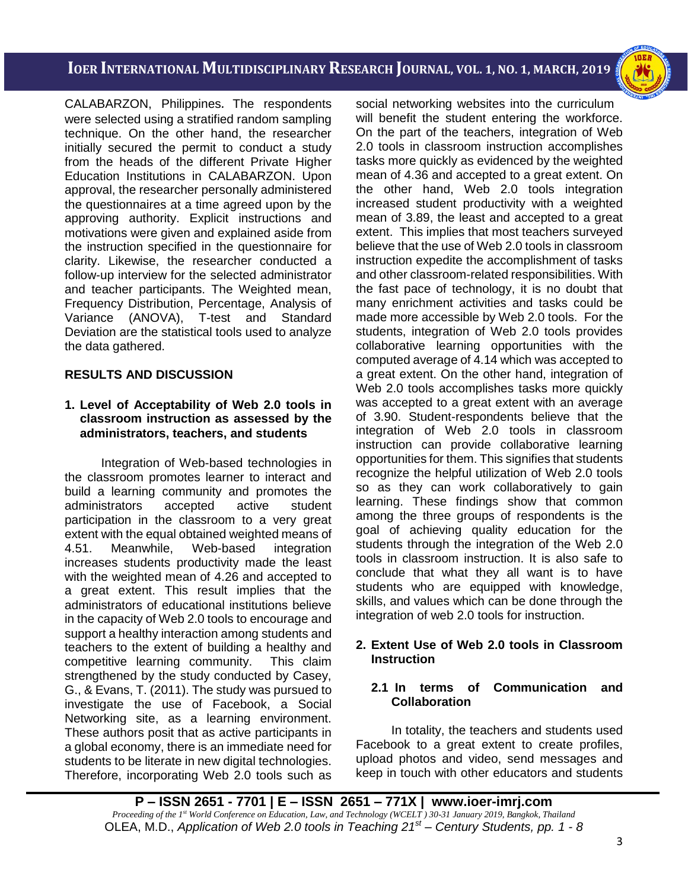i<br>I

CALABARZON, Philippines. The respondents were selected using a stratified random sampling technique. On the other hand, the researcher initially secured the permit to conduct a study from the heads of the different Private Higher Education Institutions in CALABARZON. Upon approval, the researcher personally administered the questionnaires at a time agreed upon by the approving authority. Explicit instructions and motivations were given and explained aside from the instruction specified in the questionnaire for clarity. Likewise, the researcher conducted a follow-up interview for the selected administrator and teacher participants. The Weighted mean, Frequency Distribution, Percentage, Analysis of Variance (ANOVA), T-test and Standard Deviation are the statistical tools used to analyze the data gathered.

## **RESULTS AND DISCUSSION**

### **1. Level of Acceptability of Web 2.0 tools in classroom instruction as assessed by the administrators, teachers, and students**

Integration of Web-based technologies in the classroom promotes learner to interact and build a learning community and promotes the administrators accepted active student participation in the classroom to a very great extent with the equal obtained weighted means of 4.51. Meanwhile, Web-based integration increases students productivity made the least with the weighted mean of 4.26 and accepted to a great extent. This result implies that the administrators of educational institutions believe in the capacity of Web 2.0 tools to encourage and support a healthy interaction among students and teachers to the extent of building a healthy and competitive learning community. This claim strengthened by the study conducted by Casey, G., & Evans, T. (2011). The study was pursued to investigate the use of Facebook, a Social Networking site, as a learning environment. These authors posit that as active participants in a global economy, there is an immediate need for students to be literate in new digital technologies. Therefore, incorporating Web 2.0 tools such as social networking websites into the curriculum will benefit the student entering the workforce. On the part of the teachers, integration of Web 2.0 tools in classroom instruction accomplishes tasks more quickly as evidenced by the weighted mean of 4.36 and accepted to a great extent. On the other hand, Web 2.0 tools integration increased student productivity with a weighted mean of 3.89, the least and accepted to a great extent. This implies that most teachers surveyed believe that the use of Web 2.0 tools in classroom instruction expedite the accomplishment of tasks and other classroom-related responsibilities. With the fast pace of technology, it is no doubt that many enrichment activities and tasks could be made more accessible by Web 2.0 tools. For the students, integration of Web 2.0 tools provides collaborative learning opportunities with the computed average of 4.14 which was accepted to a great extent. On the other hand, integration of Web 2.0 tools accomplishes tasks more quickly was accepted to a great extent with an average of 3.90. Student-respondents believe that the integration of Web 2.0 tools in classroom instruction can provide collaborative learning opportunities for them. This signifies that students recognize the helpful utilization of Web 2.0 tools so as they can work collaboratively to gain learning. These findings show that common among the three groups of respondents is the goal of achieving quality education for the students through the integration of the Web 2.0 tools in classroom instruction. It is also safe to conclude that what they all want is to have students who are equipped with knowledge, skills, and values which can be done through the integration of web 2.0 tools for instruction.

### **2. Extent Use of Web 2.0 tools in Classroom Instruction**

### **2.1 In terms of Communication and Collaboration**

In totality, the teachers and students used Facebook to a great extent to create profiles, upload photos and video, send messages and keep in touch with other educators and students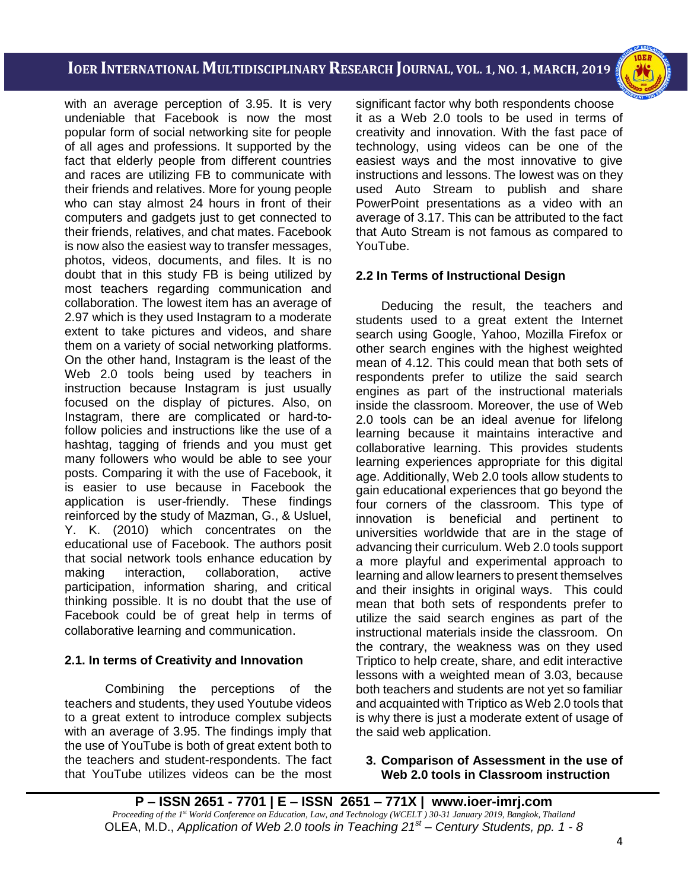i<br>I

with an average perception of 3.95. It is very undeniable that Facebook is now the most popular form of social networking site for people of all ages and professions. It supported by the fact that elderly people from different countries and races are utilizing FB to communicate with their friends and relatives. More for young people who can stay almost 24 hours in front of their computers and gadgets just to get connected to their friends, relatives, and chat mates. Facebook is now also the easiest way to transfer messages, photos, videos, documents, and files. It is no doubt that in this study FB is being utilized by most teachers regarding communication and collaboration. The lowest item has an average of 2.97 which is they used Instagram to a moderate extent to take pictures and videos, and share them on a variety of social networking platforms. On the other hand, Instagram is the least of the Web 2.0 tools being used by teachers in instruction because Instagram is just usually focused on the display of pictures. Also, on Instagram, there are complicated or hard-tofollow policies and instructions like the use of a hashtag, tagging of friends and you must get many followers who would be able to see your posts. Comparing it with the use of Facebook, it is easier to use because in Facebook the application is user-friendly. These findings reinforced by the study of Mazman, G., & Usluel, Y. K. (2010) which concentrates on the educational use of Facebook. The authors posit that social network tools enhance education by making interaction, collaboration, active participation, information sharing, and critical thinking possible. It is no doubt that the use of Facebook could be of great help in terms of collaborative learning and communication.

## **2.1. In terms of Creativity and Innovation**

 Combining the perceptions of the teachers and students, they used Youtube videos to a great extent to introduce complex subjects with an average of 3.95. The findings imply that the use of YouTube is both of great extent both to the teachers and student-respondents. The fact that YouTube utilizes videos can be the most significant factor why both respondents choose it as a Web 2.0 tools to be used in terms of creativity and innovation. With the fast pace of technology, using videos can be one of the easiest ways and the most innovative to give instructions and lessons. The lowest was on they used Auto Stream to publish and share PowerPoint presentations as a video with an average of 3.17. This can be attributed to the fact that Auto Stream is not famous as compared to YouTube.

## **2.2 In Terms of Instructional Design**

Deducing the result, the teachers and students used to a great extent the Internet search using Google, Yahoo, Mozilla Firefox or other search engines with the highest weighted mean of 4.12. This could mean that both sets of respondents prefer to utilize the said search engines as part of the instructional materials inside the classroom. Moreover, the use of Web 2.0 tools can be an ideal avenue for lifelong learning because it maintains interactive and collaborative learning. This provides students learning experiences appropriate for this digital age. Additionally, Web 2.0 tools allow students to gain educational experiences that go beyond the four corners of the classroom. This type of innovation is beneficial and pertinent to universities worldwide that are in the stage of advancing their curriculum. Web 2.0 tools support a more playful and experimental approach to learning and allow learners to present themselves and their insights in original ways. This could mean that both sets of respondents prefer to utilize the said search engines as part of the instructional materials inside the classroom. On the contrary, the weakness was on they used Triptico to help create, share, and edit interactive lessons with a weighted mean of 3.03, because both teachers and students are not yet so familiar and acquainted with Triptico as Web 2.0 tools that is why there is just a moderate extent of usage of the said web application.

### **3. Comparison of Assessment in the use of Web 2.0 tools in Classroom instruction**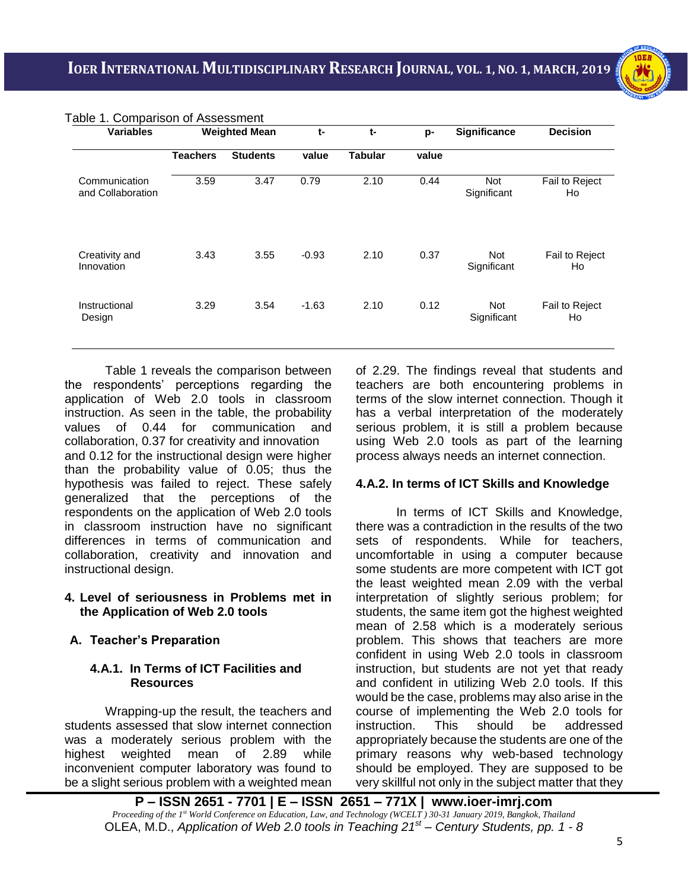i<br>I

| <b>Variables</b>                   | <b>Weighted Mean</b> |                 | $t-$    | t-             | p-    | Significance              | <b>Decision</b>      |
|------------------------------------|----------------------|-----------------|---------|----------------|-------|---------------------------|----------------------|
|                                    | <b>Teachers</b>      | <b>Students</b> | value   | <b>Tabular</b> | value |                           |                      |
| Communication<br>and Collaboration | 3.59                 | 3.47            | 0.79    | 2.10           | 0.44  | <b>Not</b><br>Significant | Fail to Reject<br>Ho |
| Creativity and<br>Innovation       | 3.43                 | 3.55            | $-0.93$ | 2.10           | 0.37  | <b>Not</b><br>Significant | Fail to Reject<br>Ho |
| Instructional<br>Design            | 3.29                 | 3.54            | $-1.63$ | 2.10           | 0.12  | Not<br>Significant        | Fail to Reject<br>Ho |

Table 1. Comparison of Assessment

Table 1 reveals the comparison between the respondents' perceptions regarding the application of Web 2.0 tools in classroom instruction. As seen in the table, the probability values of 0.44 for communication and collaboration, 0.37 for creativity and innovation and 0.12 for the instructional design were higher than the probability value of 0.05; thus the hypothesis was failed to reject. These safely generalized that the perceptions of the respondents on the application of Web 2.0 tools in classroom instruction have no significant differences in terms of communication and collaboration, creativity and innovation and instructional design.

#### **4. Level of seriousness in Problems met in the Application of Web 2.0 tools**

## **A. Teacher's Preparation**

### **4.A.1. In Terms of ICT Facilities and Resources**

Wrapping-up the result, the teachers and students assessed that slow internet connection was a moderately serious problem with the highest weighted mean of 2.89 while inconvenient computer laboratory was found to be a slight serious problem with a weighted mean of 2.29. The findings reveal that students and teachers are both encountering problems in terms of the slow internet connection. Though it has a verbal interpretation of the moderately serious problem, it is still a problem because using Web 2.0 tools as part of the learning process always needs an internet connection.

## **4.A.2. In terms of ICT Skills and Knowledge**

In terms of ICT Skills and Knowledge, there was a contradiction in the results of the two sets of respondents. While for teachers, uncomfortable in using a computer because some students are more competent with ICT got the least weighted mean 2.09 with the verbal interpretation of slightly serious problem; for students, the same item got the highest weighted mean of 2.58 which is a moderately serious problem. This shows that teachers are more confident in using Web 2.0 tools in classroom instruction, but students are not yet that ready and confident in utilizing Web 2.0 tools. If this would be the case, problems may also arise in the course of implementing the Web 2.0 tools for instruction. This should be addressed appropriately because the students are one of the primary reasons why web-based technology should be employed. They are supposed to be very skillful not only in the subject matter that they

**P – ISSN 2651 - 7701 | E – ISSN 2651 – 771X | [www.ioer-imrj.com](http://www.ioer-imrj.com/)** *Proceeding of the 1st World Conference on Education, Law, and Technology (WCELT ) 30-31 January 2019, Bangkok, Thailand* OLEA, M.D., *Application of Web 2.0 tools in Teaching 21st – Century Students, pp. 1 - 8*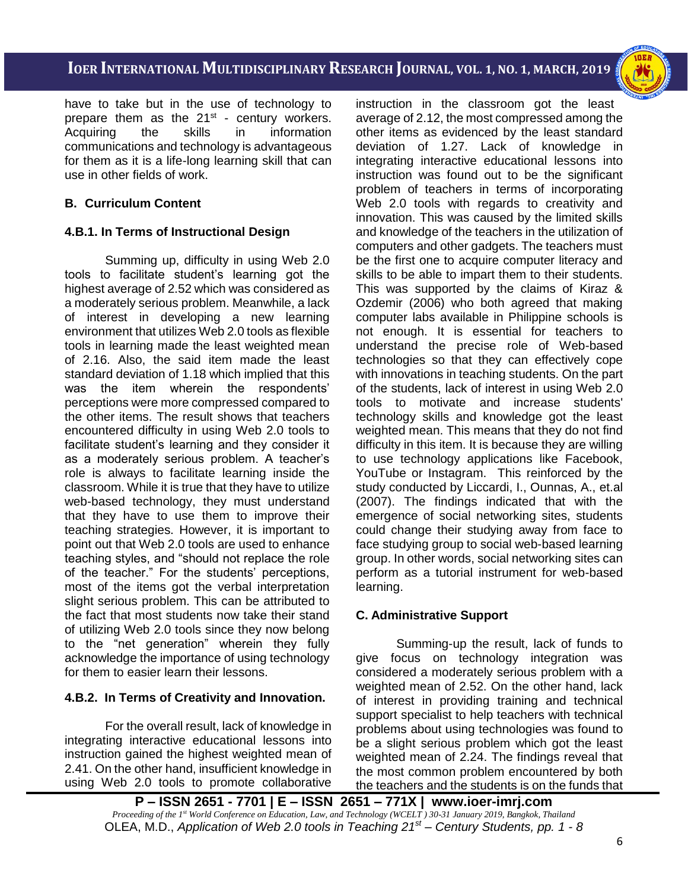i<br>I

have to take but in the use of technology to prepare them as the 21<sup>st</sup> - century workers. Acquiring the skills in information communications and technology is advantageous for them as it is a life-long learning skill that can use in other fields of work.

## **B. Curriculum Content**

## **4.B.1. In Terms of Instructional Design**

Summing up, difficulty in using Web 2.0 tools to facilitate student's learning got the highest average of 2.52 which was considered as a moderately serious problem. Meanwhile, a lack of interest in developing a new learning environment that utilizes Web 2.0 tools as flexible tools in learning made the least weighted mean of 2.16. Also, the said item made the least standard deviation of 1.18 which implied that this was the item wherein the respondents' perceptions were more compressed compared to the other items. The result shows that teachers encountered difficulty in using Web 2.0 tools to facilitate student's learning and they consider it as a moderately serious problem. A teacher's role is always to facilitate learning inside the classroom. While it is true that they have to utilize web-based technology, they must understand that they have to use them to improve their teaching strategies. However, it is important to point out that Web 2.0 tools are used to enhance teaching styles, and "should not replace the role of the teacher." For the students' perceptions, most of the items got the verbal interpretation slight serious problem. This can be attributed to the fact that most students now take their stand of utilizing Web 2.0 tools since they now belong to the "net generation" wherein they fully acknowledge the importance of using technology for them to easier learn their lessons.

## **4.B.2. In Terms of Creativity and Innovation.**

For the overall result, lack of knowledge in integrating interactive educational lessons into instruction gained the highest weighted mean of 2.41. On the other hand, insufficient knowledge in using Web 2.0 tools to promote collaborative

instruction in the classroom got the least average of 2.12, the most compressed among the other items as evidenced by the least standard deviation of 1.27. Lack of knowledge in integrating interactive educational lessons into instruction was found out to be the significant problem of teachers in terms of incorporating Web 2.0 tools with regards to creativity and innovation. This was caused by the limited skills and knowledge of the teachers in the utilization of computers and other gadgets. The teachers must be the first one to acquire computer literacy and skills to be able to impart them to their students. This was supported by the claims of Kiraz & Ozdemir (2006) who both agreed that making computer labs available in Philippine schools is not enough. It is essential for teachers to understand the precise role of Web-based technologies so that they can effectively cope with innovations in teaching students. On the part of the students, lack of interest in using Web 2.0 tools to motivate and increase students' technology skills and knowledge got the least weighted mean. This means that they do not find difficulty in this item. It is because they are willing to use technology applications like Facebook, YouTube or Instagram. This reinforced by the study conducted by Liccardi, I., Ounnas, A., et.al (2007). The findings indicated that with the emergence of social networking sites, students could change their studying away from face to face studying group to social web-based learning group. In other words, social networking sites can perform as a tutorial instrument for web-based learning.

## **C. Administrative Support**

Summing-up the result, lack of funds to give focus on technology integration was considered a moderately serious problem with a weighted mean of 2.52. On the other hand, lack of interest in providing training and technical support specialist to help teachers with technical problems about using technologies was found to be a slight serious problem which got the least weighted mean of 2.24. The findings reveal that the most common problem encountered by both the teachers and the students is on the funds that

**P – ISSN 2651 - 7701 | E – ISSN 2651 – 771X | [www.ioer-imrj.com](http://www.ioer-imrj.com/)** *Proceeding of the 1st World Conference on Education, Law, and Technology (WCELT ) 30-31 January 2019, Bangkok, Thailand* OLEA, M.D., *Application of Web 2.0 tools in Teaching 21st – Century Students, pp. 1 - 8*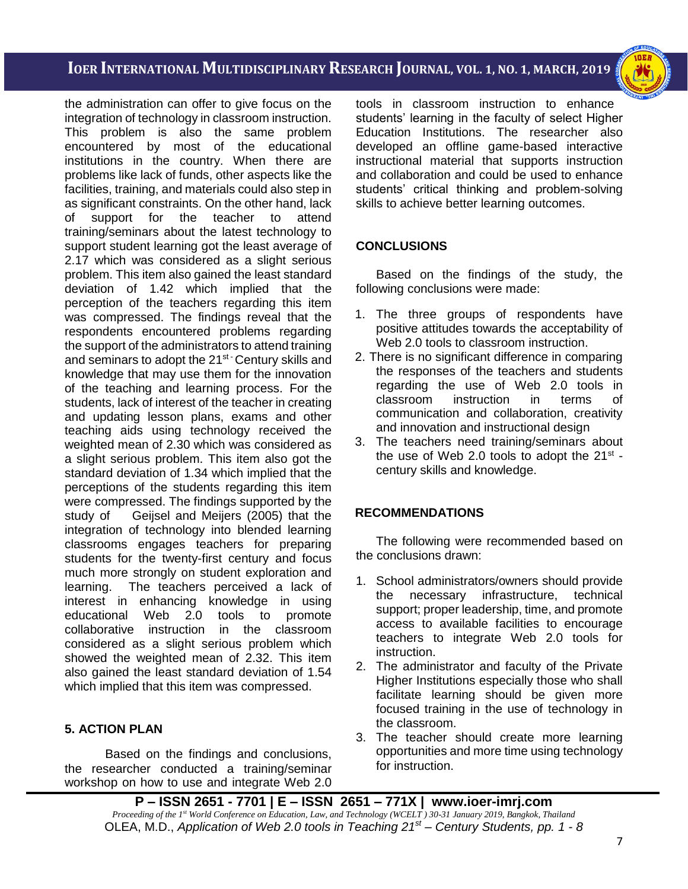i<br>I



the administration can offer to give focus on the integration of technology in classroom instruction. This problem is also the same problem encountered by most of the educational institutions in the country. When there are problems like lack of funds, other aspects like the facilities, training, and materials could also step in as significant constraints. On the other hand, lack of support for the teacher to attend training/seminars about the latest technology to support student learning got the least average of 2.17 which was considered as a slight serious problem. This item also gained the least standard deviation of 1.42 which implied that the perception of the teachers regarding this item was compressed. The findings reveal that the respondents encountered problems regarding the support of the administrators to attend training and seminars to adopt the 21<sup>st -</sup> Century skills and knowledge that may use them for the innovation of the teaching and learning process. For the students, lack of interest of the teacher in creating and updating lesson plans, exams and other teaching aids using technology received the weighted mean of 2.30 which was considered as a slight serious problem. This item also got the standard deviation of 1.34 which implied that the perceptions of the students regarding this item were compressed. The findings supported by the study of Geijsel and Meijers (2005) that the integration of technology into blended learning classrooms engages teachers for preparing students for the twenty-first century and focus much more strongly on student exploration and learning. The teachers perceived a lack of interest in enhancing knowledge in using educational Web 2.0 tools to promote collaborative instruction in the classroom considered as a slight serious problem which showed the weighted mean of 2.32. This item also gained the least standard deviation of 1.54 which implied that this item was compressed.

## **5. ACTION PLAN**

Based on the findings and conclusions, the researcher conducted a training/seminar workshop on how to use and integrate Web 2.0

tools in classroom instruction to enhance students' learning in the faculty of select Higher Education Institutions. The researcher also developed an offline game-based interactive instructional material that supports instruction and collaboration and could be used to enhance students' critical thinking and problem-solving skills to achieve better learning outcomes.

### **CONCLUSIONS**

Based on the findings of the study, the following conclusions were made:

- 1. The three groups of respondents have positive attitudes towards the acceptability of Web 2.0 tools to classroom instruction.
- 2. There is no significant difference in comparing the responses of the teachers and students regarding the use of Web 2.0 tools in classroom instruction in terms of communication and collaboration, creativity and innovation and instructional design
- 3. The teachers need training/seminars about the use of Web 2.0 tools to adopt the 21 $st$  century skills and knowledge.

### **RECOMMENDATIONS**

The following were recommended based on the conclusions drawn:

- 1. School administrators/owners should provide the necessary infrastructure, technical support; proper leadership, time, and promote access to available facilities to encourage teachers to integrate Web 2.0 tools for instruction.
- 2. The administrator and faculty of the Private Higher Institutions especially those who shall facilitate learning should be given more focused training in the use of technology in the classroom.
- 3. The teacher should create more learning opportunities and more time using technology for instruction.